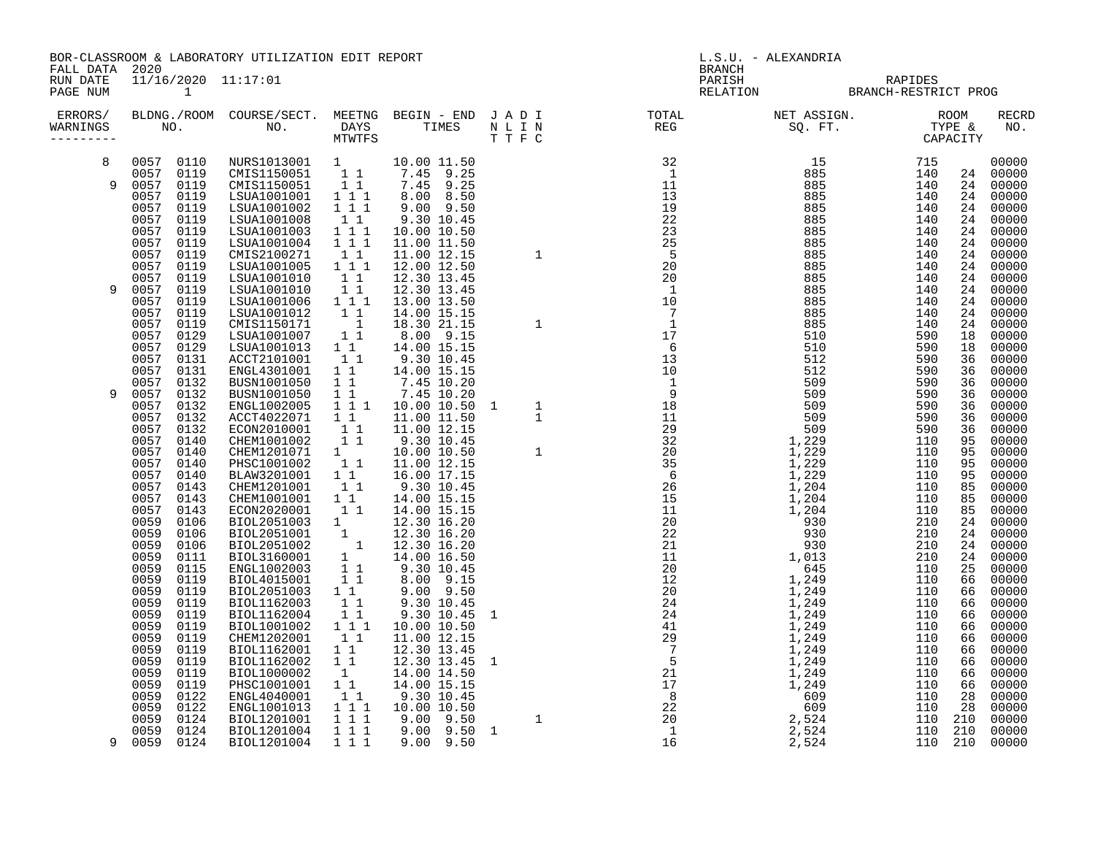BOR-CLASSROOM & LABORATORY UTILIZATION EDIT REPORT And the set of the set of the set of the set of the set of the set of the set of the set of the set of the set of the set of the set of the set of the set of the set of th FALL DATA 2020 BRANCH

RUN DATE 11/16/2020 11:17:01 PARISH RAPIDES

| PAGE NUM            |                   | $\mathbf{1}$ |                            |                                                        |  |                                                                                                                                                                                                                                                                                                                                                                                                                | RELATION | BRANCH-RESTRICT PROG |            |                     |
|---------------------|-------------------|--------------|----------------------------|--------------------------------------------------------|--|----------------------------------------------------------------------------------------------------------------------------------------------------------------------------------------------------------------------------------------------------------------------------------------------------------------------------------------------------------------------------------------------------------------|----------|----------------------|------------|---------------------|
| ERRORS/<br>WARNINGS |                   |              |                            |                                                        |  | $\begin{tabular}{cccccccc} \textbf{R91} & \textbf{R1} & \textbf{R1} & \textbf{R2} & \textbf{R2} & \textbf{R3} & \textbf{R2} & \textbf{R3} & \textbf{R2} & \textbf{R3} & \textbf{R4} & \textbf{R3} & \textbf{R4} & \textbf{R4} & \textbf{R5} & \textbf{R6} & \textbf{R6} & \textbf{R7} & \textbf{R8} & \textbf{R8} & \textbf{R8} & \textbf{R8} & \textbf{R8} & \textbf{R8} & \textbf{R8} & \textbf{R8} & \text$ |          |                      |            | <b>RECRE</b><br>NO. |
| 8                   | 0057 0110         |              | NURS1013001 1              |                                                        |  |                                                                                                                                                                                                                                                                                                                                                                                                                |          |                      |            | 00000               |
| 9                   | 0057 0119<br>0057 | 0119         | CMIS1150051<br>CMIS1150051 | $1 1$<br>11                                            |  |                                                                                                                                                                                                                                                                                                                                                                                                                |          |                      | 24<br>24   | 00000<br>00000      |
|                     | 0057              | 0119         | LSUA1001001                | $1 \quad 1 \quad 1$                                    |  |                                                                                                                                                                                                                                                                                                                                                                                                                |          |                      | 24         | 00000               |
|                     | 0057              | 0119         | LSUA1001002                | 1 1 1                                                  |  |                                                                                                                                                                                                                                                                                                                                                                                                                |          |                      | 24         | 00000               |
|                     | 0057              | 0119         | LSUA1001008                | 11                                                     |  |                                                                                                                                                                                                                                                                                                                                                                                                                |          |                      | 24         | 00000               |
|                     | 0057              | 0119         | LSUA1001003                | 1 1 1                                                  |  |                                                                                                                                                                                                                                                                                                                                                                                                                |          |                      | 24         | 00000               |
|                     | 0057              | 0119         | LSUA1001004                | 1 1 1                                                  |  |                                                                                                                                                                                                                                                                                                                                                                                                                |          |                      | 24         | 00000               |
|                     | 0057              | 0119         | CMIS2100271                | 11                                                     |  |                                                                                                                                                                                                                                                                                                                                                                                                                |          |                      | 24         | 00000               |
|                     | 0057<br>0057      | 0119<br>0119 | LSUA1001005<br>LSUA1001010 | 1 1 1<br>$1\quad1$                                     |  |                                                                                                                                                                                                                                                                                                                                                                                                                |          |                      | 24<br>24   | 00000<br>00000      |
| 9                   | 0057              | 0119         | LSUA1001010                | 11                                                     |  |                                                                                                                                                                                                                                                                                                                                                                                                                |          |                      | 24         | 00000               |
|                     | 0057              | 0119         | LSUA1001006                | 1 1 1                                                  |  |                                                                                                                                                                                                                                                                                                                                                                                                                |          |                      | 24         | 00000               |
|                     | 0057              | 0119         | LSUA1001012                | 11                                                     |  |                                                                                                                                                                                                                                                                                                                                                                                                                |          |                      | 24         | 00000               |
|                     | 0057              | 0119         | CMIS1150171                | $\overline{\phantom{a}}$                               |  |                                                                                                                                                                                                                                                                                                                                                                                                                |          |                      | 24         | 00000               |
|                     | 0057              | 0129         | LSUA1001007                | $1\quad1$                                              |  |                                                                                                                                                                                                                                                                                                                                                                                                                |          |                      | 18         | 00000               |
|                     | 0057              | 0129         | LSUA1001013                | $1\quad1$                                              |  |                                                                                                                                                                                                                                                                                                                                                                                                                |          |                      | 18         | 00000               |
|                     | 0057<br>0057      | 0131<br>0131 | ACCT2101001<br>ENGL4301001 | $1\quad1$<br>$1\quad1$                                 |  |                                                                                                                                                                                                                                                                                                                                                                                                                |          |                      | 36<br>36   | 00000<br>00000      |
|                     | 0057              | 0132         | BUSN1001050                | 11                                                     |  |                                                                                                                                                                                                                                                                                                                                                                                                                |          |                      | 36         | 00000               |
| 9                   | 0057              | 0132         | BUSN1001050                | $1\quad1$                                              |  |                                                                                                                                                                                                                                                                                                                                                                                                                |          |                      | 36         | 00000               |
|                     | 0057              | 0132         | ENGL1002005                | $1 1 1$                                                |  |                                                                                                                                                                                                                                                                                                                                                                                                                |          |                      | 36         | 00000               |
|                     | 0057              | 0132         | ACCT4022071                | $1\quad1$                                              |  |                                                                                                                                                                                                                                                                                                                                                                                                                |          |                      | 36         | 00000               |
|                     | 0057              | 0132         | ECON2010001                | 11                                                     |  |                                                                                                                                                                                                                                                                                                                                                                                                                |          |                      | 36         | 00000               |
|                     | 0057              | 0140         | CHEM1001002                | 11                                                     |  |                                                                                                                                                                                                                                                                                                                                                                                                                |          |                      | 95         | 00000               |
|                     | 0057<br>0057      | 0140<br>0140 | CHEM1201071<br>PHSC1001002 | $1 \quad \blacksquare$<br>$1\quad1$                    |  |                                                                                                                                                                                                                                                                                                                                                                                                                |          |                      | 95<br>95   | 00000<br>00000      |
|                     | 0057              | 0140         | BLAW3201001                | 1 1                                                    |  |                                                                                                                                                                                                                                                                                                                                                                                                                |          |                      | 95         | 00000               |
|                     | 0057              | 0143         | CHEM1201001                | $1\quad1$                                              |  |                                                                                                                                                                                                                                                                                                                                                                                                                |          |                      | 85         | 00000               |
|                     | 0057              | 0143         | CHEM1001001                | $1\;1$                                                 |  |                                                                                                                                                                                                                                                                                                                                                                                                                |          |                      | 85         | 00000               |
|                     | 0057              | 0143         | ECON2020001                | $1\quad1$                                              |  |                                                                                                                                                                                                                                                                                                                                                                                                                |          |                      | 85         | 00000               |
|                     | 0059              | 0106         | BIOL2051003                | $\begin{smallmatrix}1&&\\&1\\&1\\&&1\end{smallmatrix}$ |  |                                                                                                                                                                                                                                                                                                                                                                                                                |          |                      | 24         | 00000               |
|                     | 0059              | 0106         | BIOL2051001                |                                                        |  |                                                                                                                                                                                                                                                                                                                                                                                                                |          |                      | 24         | 00000               |
|                     | 0059<br>0059      | 0106<br>0111 | BIOL2051002<br>BIOL3160001 |                                                        |  |                                                                                                                                                                                                                                                                                                                                                                                                                |          |                      | 24<br>24   | 00000<br>00000      |
|                     | 0059              | 0115         | ENGL1002003                |                                                        |  |                                                                                                                                                                                                                                                                                                                                                                                                                |          |                      | 25         | 00000               |
|                     | 0059              | 0119         | BIOL4015001                | 11                                                     |  |                                                                                                                                                                                                                                                                                                                                                                                                                |          |                      | 66         | 00000               |
|                     | 0059              | 0119         | BIOL2051003                | $1\quad1$                                              |  |                                                                                                                                                                                                                                                                                                                                                                                                                |          |                      | 66         | 00000               |
|                     | 0059              | 0119         | BIOL1162003                | 11                                                     |  |                                                                                                                                                                                                                                                                                                                                                                                                                |          |                      | 66         | 00000               |
|                     | 0059              | 0119         | BIOL1162004                | 11                                                     |  |                                                                                                                                                                                                                                                                                                                                                                                                                |          |                      | 66         | 00000               |
|                     | 0059              | 0119         | BIOL1001002                | $1 1 1$                                                |  |                                                                                                                                                                                                                                                                                                                                                                                                                |          |                      | 66         | 00000               |
|                     | 0059<br>0059      | 0119<br>0119 | CHEM1202001<br>BIOL1162001 | 11<br>1 1                                              |  |                                                                                                                                                                                                                                                                                                                                                                                                                |          |                      | 66<br>66   | 00000               |
|                     | 0059              | 0119         | BIOL1162002                | 11                                                     |  |                                                                                                                                                                                                                                                                                                                                                                                                                |          |                      | 66         | 00000<br>00000      |
|                     | 0059              | 0119         | BIOL1000002                | $\overline{1}$                                         |  |                                                                                                                                                                                                                                                                                                                                                                                                                |          |                      | 66         | 00000               |
|                     | 0059              | 0119         | PHSC1001001                | 11                                                     |  |                                                                                                                                                                                                                                                                                                                                                                                                                |          |                      | 66         | 00000               |
|                     | 0059              | 0122         | ENGL4040001                | 11                                                     |  |                                                                                                                                                                                                                                                                                                                                                                                                                |          |                      | 28         | 00000               |
|                     | 0059              | 0122         | ENGL1001013                | 111                                                    |  |                                                                                                                                                                                                                                                                                                                                                                                                                |          |                      | 28         | 00000               |
|                     | 0059              | 0124         | BIOL1201001                | $\frac{1}{1}$ $\frac{1}{1}$ $\frac{1}{1}$              |  |                                                                                                                                                                                                                                                                                                                                                                                                                |          |                      | 210        | 00000               |
| 9                   | 0059<br>0059      | 0124<br>0124 | BIOL1201004<br>BIOL1201004 | 1 1 1<br>1 1 1                                         |  |                                                                                                                                                                                                                                                                                                                                                                                                                |          |                      | 210<br>210 | 00000<br>00000      |
|                     |                   |              |                            |                                                        |  |                                                                                                                                                                                                                                                                                                                                                                                                                |          |                      |            |                     |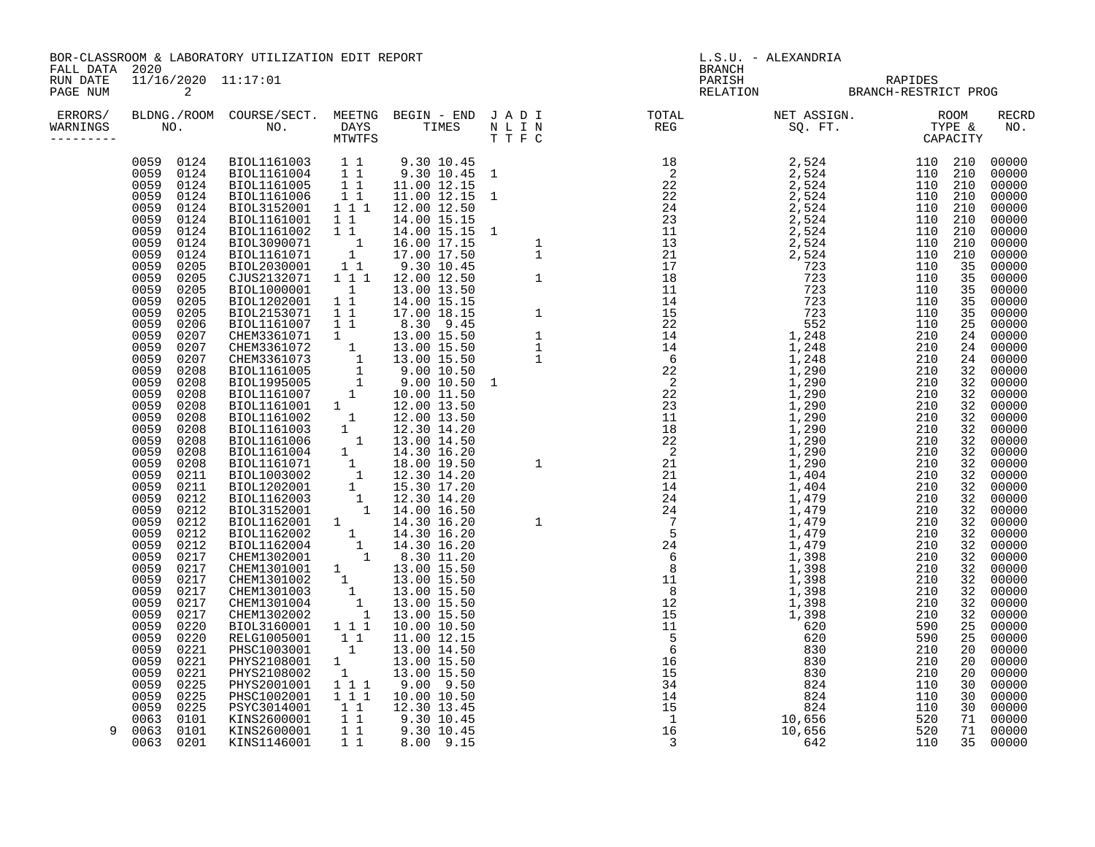BOR-CLASSROOM & LABORATORY UTILIZATION EDIT REPORT And the contract of the contract of the contract of the contra FALL DATA 2020 BRANCH

PAGE NUM 2 RELATION BRANCH-RESTRICT PROG

| ERRORS/<br>WARNINGS |                                                                                              |                                                                                        |                                                          |  |                                                                                                                                                                                                                                                                                                                                                                                                            | <b>RECRD</b><br>NO.                                                                                                              |
|---------------------|----------------------------------------------------------------------------------------------|----------------------------------------------------------------------------------------|----------------------------------------------------------|--|------------------------------------------------------------------------------------------------------------------------------------------------------------------------------------------------------------------------------------------------------------------------------------------------------------------------------------------------------------------------------------------------------------|----------------------------------------------------------------------------------------------------------------------------------|
|                     | 0059<br>0124<br>0059<br>0124<br>0059<br>0124<br>0059<br>0124<br>0059<br>0124<br>0059<br>0124 | BIOL1161003<br>BIOL1161004<br>BIOL1161005<br>BIOL1161006<br>BIOL3152001<br>BIOL1161001 | $1\quad1$<br>11<br>11<br>11<br>1 1 1<br>11               |  | $\begin{tabular}{l cccc} \textbf{BRGR1} & \textbf{R R1} & \textbf{R2} & \textbf{R3} & \textbf{R4} & \textbf{R5} & \textbf{R6} & \textbf{R6} & \textbf{R6} & \textbf{R7} & \textbf{R8} & \textbf{R8} & \textbf{R8} & \textbf{R9} & \textbf{R1} & \textbf{R1} & \textbf{R2} & \textbf{R3} & \textbf{R2} & \textbf{R3} & \textbf{R4} & \textbf{R5} & \textbf{R6} & \textbf{R6} & \textbf{R7} & \textbf{R8} &$ | 110 210<br>00000<br>110<br>210<br>00000<br>110<br>210<br>00000<br>110<br>210<br>00000<br>110 210<br>00000<br>110<br>210<br>00000 |
|                     | 0059<br>0124<br>0059<br>0124<br>0059<br>0124                                                 | BIOL1161002<br>BIOL3090071<br>BIOL1161071                                              | 11<br>$\overline{\mathbf{1}}$<br>$\overline{\mathbf{1}}$ |  |                                                                                                                                                                                                                                                                                                                                                                                                            | 110<br>210<br>00000<br>110<br>210<br>00000<br>110<br>210<br>00000                                                                |
|                     | 0059<br>0205<br>0059<br>0205                                                                 | BIOL2030001<br>CJUS2132071                                                             | $1\quad1$<br>111                                         |  |                                                                                                                                                                                                                                                                                                                                                                                                            | 35<br>110<br>00000<br>35<br>110<br>00000                                                                                         |
|                     | 0059<br>0205<br>0059<br>0205<br>0059<br>0205                                                 | BIOL1000001<br>BIOL1202001<br>BIOL2153071                                              | $\overline{1}$<br>$1\quad1$<br>11                        |  |                                                                                                                                                                                                                                                                                                                                                                                                            | 110<br>35<br>00000<br>110<br>35<br>00000<br>110<br>35<br>00000                                                                   |
|                     | 0059<br>0206<br>0059<br>0207<br>0059<br>0207                                                 | BIOL1161007<br>CHEM3361071<br>CHEM3361072                                              | 1 1<br>$\overline{1}$                                    |  |                                                                                                                                                                                                                                                                                                                                                                                                            | 00000<br>110<br>25<br>210<br>24<br>00000<br>210<br>24<br>00000                                                                   |
|                     | 0059<br>0207<br>0059<br>0208<br>0059<br>0208                                                 | CHEM3361073<br>BIOL1161005<br>BIOL1995005                                              |                                                          |  |                                                                                                                                                                                                                                                                                                                                                                                                            | 210<br>24<br>00000<br>210<br>32<br>00000<br>32<br>210<br>00000                                                                   |
|                     | 0059<br>0208<br>0059<br>0208                                                                 | BIOL1161007<br>BIOL1161001                                                             | 1                                                        |  |                                                                                                                                                                                                                                                                                                                                                                                                            | 210<br>32<br>00000<br>210<br>32<br>00000                                                                                         |
|                     | 0059<br>0208<br>0059<br>0208<br>0059<br>0208                                                 | BIOL1161002<br>BIOL1161003<br>BIOL1161006                                              | $\overline{1}$<br>1<br>$\overline{1}$                    |  |                                                                                                                                                                                                                                                                                                                                                                                                            | 210<br>32<br>00000<br>210<br>32<br>00000<br>210<br>32<br>00000                                                                   |
|                     | 0059<br>0208<br>0059<br>0208<br>0059<br>0211                                                 | BIOL1161004<br>BIOL1161071<br>BIOL1003002                                              | 1<br>$\begin{array}{c} 1 \\ 1 \\ 1 \end{array}$          |  |                                                                                                                                                                                                                                                                                                                                                                                                            | 210<br>32<br>00000<br>210<br>32<br>00000<br>210<br>00000<br>32                                                                   |
|                     | 0059<br>0211<br>0059<br>0212<br>0059<br>0212                                                 | BIOL1202001<br>BIOL1162003<br>BIOL3152001                                              | $\begin{smallmatrix}&&1\\&&-1\\&1\end{smallmatrix}$      |  |                                                                                                                                                                                                                                                                                                                                                                                                            | 210<br>32<br>00000<br>210<br>32<br>00000<br>210<br>32<br>00000                                                                   |
|                     | 0059<br>0212<br>0059<br>0212<br>0059<br>0212                                                 | BIOL1162001<br>BIOL1162002<br>BIOL1162004                                              | 1<br>$\begin{smallmatrix}1\\1\\1\\1\end{smallmatrix}$    |  |                                                                                                                                                                                                                                                                                                                                                                                                            | 210<br>32<br>00000<br>210<br>32<br>00000<br>32<br>210<br>00000                                                                   |
|                     | 0059<br>0217<br>0059<br>0217                                                                 | CHEM1302001<br>CHEM1301001                                                             | $\begin{smallmatrix}1\1\end{smallmatrix}$                |  |                                                                                                                                                                                                                                                                                                                                                                                                            | 32<br>210<br>00000<br>210<br>32<br>00000                                                                                         |
|                     | 0059<br>0217<br>0059<br>0217<br>0059<br>0217                                                 | CHEM1301002<br>CHEM1301003<br>CHEM1301004                                              | $\begin{array}{c} 1 \\ 1 \\ 1 \end{array}$               |  |                                                                                                                                                                                                                                                                                                                                                                                                            | 210<br>32<br>00000<br>210<br>32<br>00000<br>210<br>32<br>00000                                                                   |
|                     | 0059<br>0217<br>0059<br>0220<br>0059<br>0220                                                 | CHEM1302002<br>BIOL3160001<br>RELG1005001                                              | 1 1 1<br>1 1                                             |  |                                                                                                                                                                                                                                                                                                                                                                                                            | 32<br>210<br>00000<br>590<br>25<br>00000<br>25<br>590<br>00000                                                                   |
|                     | 0059<br>0221<br>0059<br>0221<br>0059<br>0221                                                 | PHSC1003001<br>PHYS2108001<br>PHYS2108002                                              | $\overline{1}$<br>1<br>1                                 |  |                                                                                                                                                                                                                                                                                                                                                                                                            | 210<br>20<br>00000<br>210<br>00000<br>20<br>210<br>20<br>00000                                                                   |
|                     | 0059<br>0225<br>0059<br>0225<br>0059<br>0225                                                 | PHYS2001001<br>PHSC1002001<br>PSYC3014001                                              | 1 1 1<br>111<br>$1\quad1$                                |  |                                                                                                                                                                                                                                                                                                                                                                                                            | 110<br>30<br>00000<br>110<br>30<br>00000<br>110<br>30<br>00000                                                                   |
| 9                   | 0101<br>0063<br>0063<br>0101<br>0063<br>0201                                                 | KINS2600001<br>KINS2600001<br>KINS1146001                                              | 11<br>$1\quad1$<br>$1\quad1$                             |  |                                                                                                                                                                                                                                                                                                                                                                                                            | 520<br>71<br>00000<br>520<br>71<br>00000<br>110<br>35<br>00000                                                                   |

RUN DATE 11/16/2020 11:17:01 PARISH RAPIDES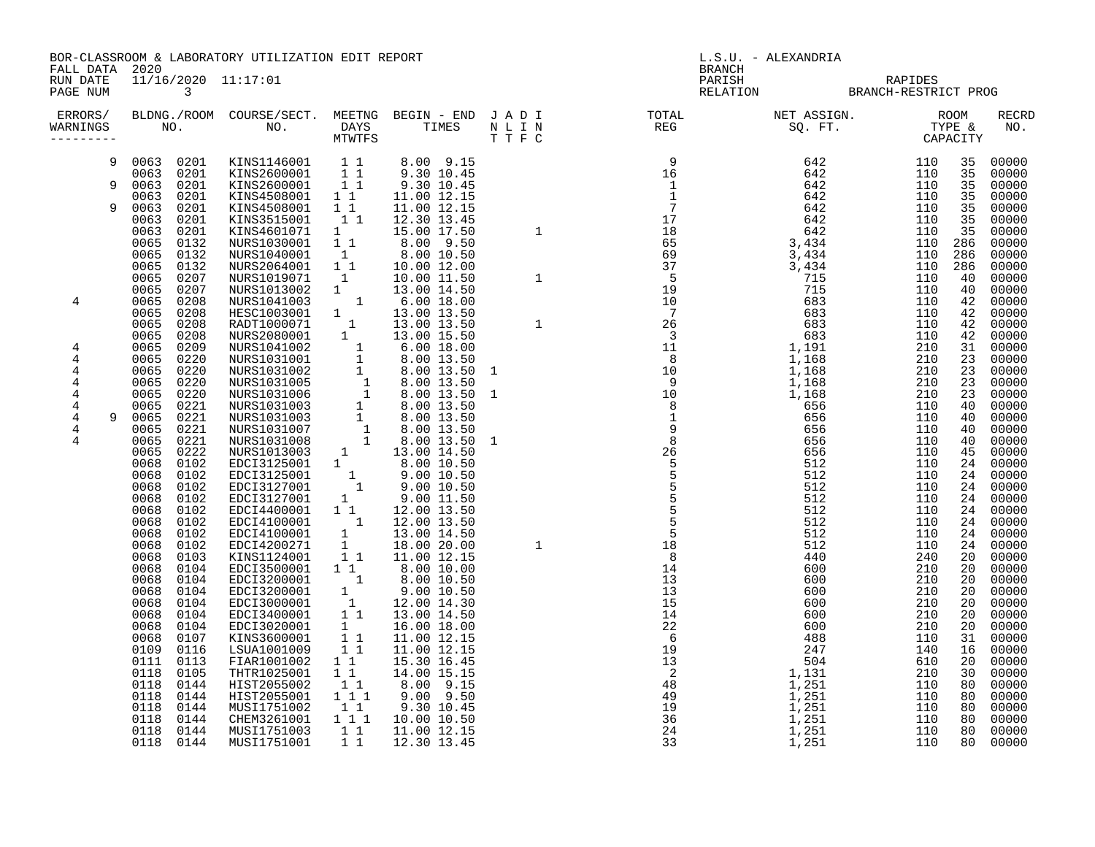BOR-CLASSROOM & LABORATORY UTILIZATION EDIT REPORT **Example 19** L.S.U. - ALEXANDRIA FALL DATA 2020 BRANCH

RUN DATE 11/16/2020 11:17:01 PARISH RAPIDES

| ERRORS/<br>WARNINGS                                                   | BLDNG./ROOM<br>NO.                                                                                                                                                                                                                                                                                                                                                                                                                                                           | COURSE/SECT.<br>NO.                                                                                                                                                                                                                                                                                                                                                                                                                             | MEETNG<br><b>DAYS</b><br><b>MTWTFS</b>                                                                                                                                                                                                                                                                                                                                                                       | BEGIN - END JADI<br>TIMES                                                                                                                                                                                                                                                                                                                                                                                                         | N L I N<br>TTFC                                                                                                                                               | TOTAL<br>REG                                                                                                                                     | NET ASSIGN.<br>SQ. FT.                                                                                                                                                                                                  | ROOM<br>TYPE &<br>CAPACITY                                                                                                                                                                                                                                                                                                                                                               | <b>RECRD</b><br>NO.                                                                                                                                                                                                                                               |
|-----------------------------------------------------------------------|------------------------------------------------------------------------------------------------------------------------------------------------------------------------------------------------------------------------------------------------------------------------------------------------------------------------------------------------------------------------------------------------------------------------------------------------------------------------------|-------------------------------------------------------------------------------------------------------------------------------------------------------------------------------------------------------------------------------------------------------------------------------------------------------------------------------------------------------------------------------------------------------------------------------------------------|--------------------------------------------------------------------------------------------------------------------------------------------------------------------------------------------------------------------------------------------------------------------------------------------------------------------------------------------------------------------------------------------------------------|-----------------------------------------------------------------------------------------------------------------------------------------------------------------------------------------------------------------------------------------------------------------------------------------------------------------------------------------------------------------------------------------------------------------------------------|---------------------------------------------------------------------------------------------------------------------------------------------------------------|--------------------------------------------------------------------------------------------------------------------------------------------------|-------------------------------------------------------------------------------------------------------------------------------------------------------------------------------------------------------------------------|------------------------------------------------------------------------------------------------------------------------------------------------------------------------------------------------------------------------------------------------------------------------------------------------------------------------------------------------------------------------------------------|-------------------------------------------------------------------------------------------------------------------------------------------------------------------------------------------------------------------------------------------------------------------|
| 9<br>9<br>q<br>4<br>4<br>4<br>4<br>4<br>4<br>$\overline{4}$<br>4<br>4 | 0201<br>0063<br>0201<br>0063<br>0063<br>0201<br>0201<br>0063<br>0063<br>0201<br>0063<br>0201<br>0063<br>0201<br>0065<br>0132<br>0065<br>0132<br>0065<br>0132<br>0065<br>0207<br>0065<br>0207<br>0065<br>0208<br>0065<br>0208<br>0065<br>0208<br>0065<br>0208<br>0065<br>0209<br>0065<br>0220<br>0065<br>0220<br>0065<br>0220<br>0220<br>0065<br>0065<br>0221<br>0065<br>0221<br>0221<br>0065<br>0065<br>0221<br>0065<br>0222<br>0068<br>0102<br>0068<br>0102<br>0068<br>0102 | KINS1146001<br>KINS2600001<br>KINS2600001<br>KINS4508001<br>KINS4508001<br>KINS3515001<br>KINS4601071<br>NURS1030001<br>NURS1040001<br>NURS2064001<br>NURS1019071<br>NURS1013002<br>NURS1041003<br>HESC1003001<br>RADT1000071<br>NURS2080001<br>NURS1041002<br>NURS1031001<br>NURS1031002<br>NURS1031005<br>NURS1031006<br>NURS1031003<br>NURS1031003<br>NURS1031007<br>NURS1031008<br>NURS1013003<br>EDCI3125001<br>EDCI3125001<br>EDCI3127001 | $1\quad1$<br>11<br>$1\quad1$<br>$1\quad1$<br>$1\quad1$<br>11<br>1<br>$1\quad1$<br>$\mathbb{I}$<br>$1\quad1$<br>$\mathbf{1}$<br>$\mathbf{1}$<br>$\mathbf{1}$<br>$\mathbf{1}$<br>$\mathbf{1}$<br>1<br>$\mathbf 1$<br>$\mathbf{1}$<br>$\mathbf{1}$<br>$\overline{1}$<br>$\overline{1}$<br>$\mathbf{1}$<br>$\mathbf{1}$<br>$\overline{1}$<br>$\mathbf{1}$<br>$\overline{1}$<br>1<br>$\mathbf{1}$<br>$\mathbf{1}$ | 8.00 9.15<br>9.30 10.45<br>9.30 10.45<br>11.00 12.15<br>11.00 12.15<br>12.30 13.45<br>15.00 17.50<br>$8.00$ $9.50$<br>8.00 10.50<br>10.00 12.00<br>10.00 11.50<br>13.00 14.50<br>6.00 18.00<br>13.00 13.50<br>13.00 13.50<br>13.00 15.50<br>$6.00$ 18.00<br>8.00 13.50<br>8.00 13.50<br>8.00 13.50<br>8.00 13.50<br>8.00 13.50<br>8.00 13.50<br>8.00 13.50<br>8.00 13.50<br>13.00 14.50<br>8.00 10.50<br>9.00 10.50<br>9.00 10.50 | $\begin{array}{c} 9 \\ 16 \\ 1 \\ 1 \\ 7 \\ 17 \\ 18 \\ \end{array}$<br>1<br>$\mathbf{1}$<br>$\mathbf{1}$<br>$\overline{1}$<br>$\mathbf{1}$<br>$\overline{1}$ | 65<br>69<br>37<br>5<br>19<br>10<br>$7\overline{ }$<br>26                                                                                         | 642<br>642<br>642<br>642<br>642<br>642<br>642<br>3,434<br>3,434<br>3,434<br>715<br>715<br>683<br>683<br>683<br>683<br>1,191<br>1,168<br>1,168<br>1,168<br>1,168<br>656<br>656<br>656<br>656<br>656<br>512<br>512<br>512 | 110<br>35<br>110<br>35<br>35<br>110<br>35<br>110<br>110<br>35<br>110<br>35<br>35<br>110<br>110<br>286<br>110<br>286<br>110<br>286<br>40<br>110<br>110<br>40<br>42<br>110<br>110<br>42<br>110<br>42<br>110<br>42<br>210<br>31<br>210<br>23<br>210<br>23<br>210<br>23<br>210<br>23<br>110<br>40<br>110<br>40<br>110<br>40<br>110<br>40<br>110<br>45<br>110<br>24<br>24<br>110<br>110<br>24 | 00000<br>00000<br>00000<br>00000<br>00000<br>00000<br>00000<br>00000<br>00000<br>00000<br>00000<br>00000<br>00000<br>00000<br>00000<br>00000<br>00000<br>00000<br>00000<br>00000<br>00000<br>00000<br>00000<br>00000<br>00000<br>00000<br>00000<br>00000<br>00000 |
|                                                                       | 0068<br>0102<br>0068<br>0102<br>0068<br>0102<br>0068<br>0102<br>0068<br>0102<br>0068<br>0103<br>0068<br>0104<br>0068<br>0104<br>0068<br>0104<br>0068<br>0104<br>0068<br>0104<br>0068<br>0104<br>0068<br>0107<br>0109<br>0116<br>0111<br>0113<br>0118<br>0105<br>0118<br>0144<br>0144<br>0118<br>0118<br>0144<br>0144<br>0118<br>0118<br>0144<br>0118<br>0144                                                                                                                 | EDCI3127001<br>EDCI4400001<br>EDCI4100001<br>EDCI4100001<br>EDCI4200271<br>KINS1124001<br>EDCI3500001<br>EDCI3200001<br>EDCI3200001<br>EDCI3000001<br>EDCI3400001<br>EDCI3020001<br>KINS3600001<br>LSUA1001009<br>FIAR1001002<br>THTR1025001<br>HIST2055002<br>HIST2055001<br>MUSI1751002<br>CHEM3261001<br>MUSI1751003<br>MUSI1751001                                                                                                          | 1<br>$1\quad1$<br>$\mathbf{1}$<br>1<br>$\mathbf{1}$<br>$1\quad1$<br>$1\quad1$<br>$\mathbf{1}$<br>1<br>$\mathbf{1}$<br>$1\quad1$<br>1<br>11<br>$1\quad1$<br>$1\quad1$<br>$1\quad1$<br>1 1<br>1 1 1<br>11<br>1 1 1<br>$1\quad1$<br>$1\quad1$                                                                                                                                                                   | 9.00 11.50<br>12.00 13.50<br>12.00 13.50<br>13.00 14.50<br>18.00 20.00<br>11.00 12.15<br>8.00 10.00<br>8.00 10.50<br>9.00 10.50<br>12.00 14.30<br>13.00 14.50<br>16.00 18.00<br>11.00 12.15<br>11.00 12.15<br>15.30 16.45<br>14.00 15.15<br>8.00<br>9.15<br>9.00<br>9.50<br>9.30 10.45<br>10.00 10.50<br>11.00 12.15<br>12.30 13.45                                                                                               | $\mathbf{1}$                                                                                                                                                  | $\overline{5}$<br>18<br>8<br>14<br>13<br>13<br>15<br>14<br>22<br>6<br>19<br>13<br>$\overline{\phantom{0}}^2$<br>48<br>49<br>19<br>36<br>24<br>33 | 512<br>512<br>512<br>512<br>512<br>440<br>600<br>600<br>600<br>600<br>600<br>600<br>488<br>247<br>504<br>1,131<br>1,251<br>1,251<br>1,251<br>1,251<br>1,251<br>1,251                                                    | 110<br>24<br>24<br>110<br>110<br>24<br>110<br>24<br>110<br>24<br>240<br>20<br>210<br>20<br>210<br>20<br>210<br>20<br>210<br>20<br>210<br>20<br>210<br>20<br>110<br>31<br>140<br>16<br>610<br>20<br>210<br>30<br>110<br>80<br>110<br>80<br>110<br>80<br>110<br>80<br>110<br>80<br>80<br>110                                                                                               | 00000<br>00000<br>00000<br>00000<br>00000<br>00000<br>00000<br>00000<br>00000<br>00000<br>00000<br>00000<br>00000<br>00000<br>00000<br>00000<br>00000<br>00000<br>00000<br>00000<br>00000<br>00000                                                                |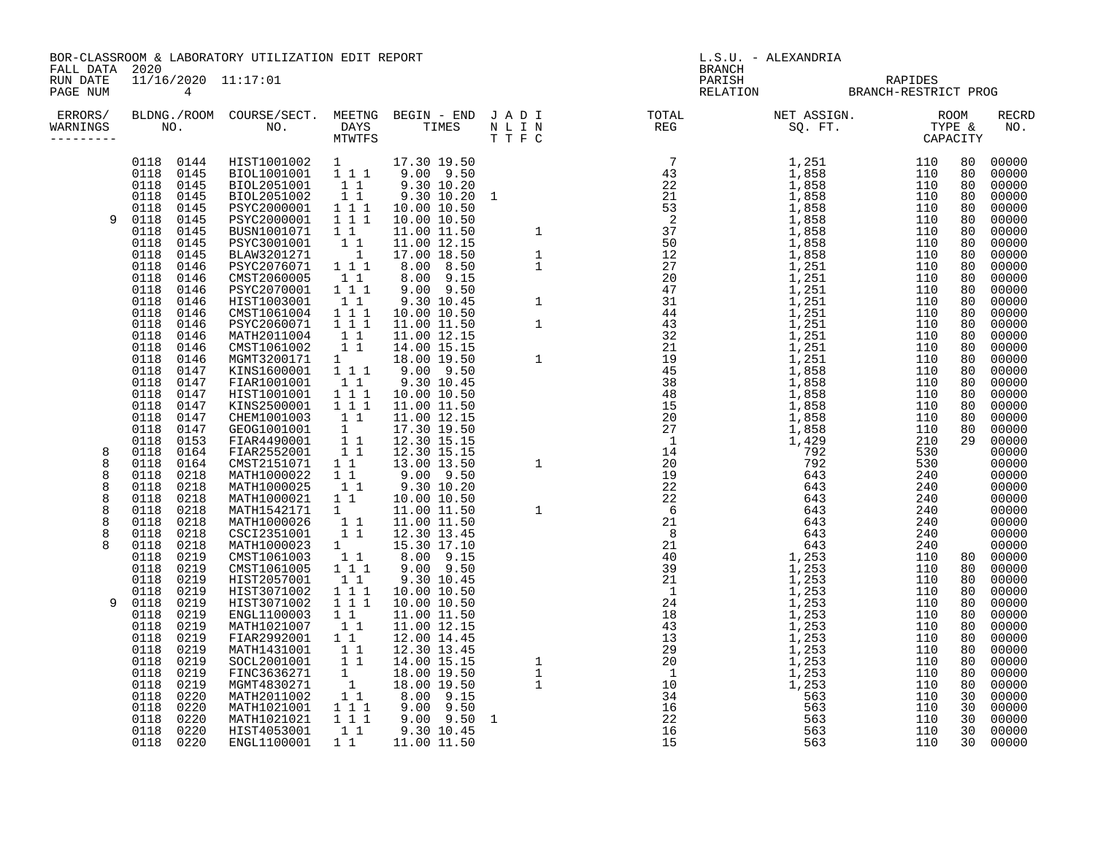BOR-CLASSROOM & LABORATORY UTILIZATION EDIT REPORT SUMMAN SUMMAN BRANCH BRANCH BRANCH BRANCH FALL DATA 2020

RUN DATE 11/16/2020 11:17:01 PARISH RAPIDES

| ERRORS/<br>WARNINGS        | NO.                                                                                                          | BLDNG./ROOM COURSE/SECT. MEETNG BEGIN - END J A D I<br>NO.                                            | DAYS<br>MTWTFS                                                                            | TIMES                                                                                                   | N L I N<br>TTFC | TOTAL<br>REG | NET ASSIGN.<br>SQ. FT.                                      | ROOM<br>TYPE &<br>CAPACITY                                                              | <b>RECRD</b><br>NO.                                         |
|----------------------------|--------------------------------------------------------------------------------------------------------------|-------------------------------------------------------------------------------------------------------|-------------------------------------------------------------------------------------------|---------------------------------------------------------------------------------------------------------|-----------------|--------------|-------------------------------------------------------------|-----------------------------------------------------------------------------------------|-------------------------------------------------------------|
| 9                          | 0144<br>0118<br>0118<br>0145<br>0118<br>0145<br>0118<br>0145<br>0118<br>0145<br>0118<br>0145<br>0118<br>0145 | HIST1001002<br>BIOL1001001<br>BIOL2051001<br>BIOL2051002<br>PSYC2000001<br>PSYC2000001<br>BUSN1001071 | $1 \quad \blacksquare$<br>$1 1 1$<br>11<br>11<br>111<br>111<br>$1\quad1$                  | 17.30 19.50<br>9.00 9.50<br>9.30 10.20<br>9.30 10.20 1<br>10.00 10.50<br>10.00 10.50<br>11.00 11.50     |                 |              | 1,251<br>1,858<br>1,858<br>1,858<br>1,858<br>1,858<br>1,858 | 110<br>80<br>110<br>80<br>110<br>80<br>110<br>80<br>110<br>80<br>110<br>80<br>110<br>80 | 00000<br>00000<br>00000<br>00000<br>00000<br>00000<br>00000 |
|                            | 0145<br>0118<br>0118<br>0145<br>0118<br>0146<br>0118<br>0146<br>0118<br>0146<br>0118<br>0146<br>0118<br>0146 | PSYC3001001<br>BLAW3201271<br>PSYC2076071<br>CMST2060005<br>PSYC2070001<br>HIST1003001<br>CMST1061004 | 11<br>$\overline{1}$<br>1 1 1<br>11<br>111<br>11<br>$1 1 1$                               | 11.00 12.15<br>17.00 18.50<br>8.00<br>8.50<br>8.00<br>9.15<br>9.50<br>9.00<br>9.30 10.45<br>10.00 10.50 |                 |              | 1,858<br>1,858<br>1,251<br>1,251<br>1,251<br>1,251<br>1,251 | 110<br>80<br>110<br>80<br>110<br>80<br>110<br>80<br>110<br>80<br>110<br>80<br>110<br>80 | 00000<br>00000<br>00000<br>00000<br>00000<br>00000<br>00000 |
|                            | 0118<br>0146<br>0118<br>0146<br>0118<br>0146<br>0118<br>0146<br>0118<br>0147<br>0118<br>0147                 | PSYC2060071<br>MATH2011004<br>CMST1061002<br>MGMT3200171<br>KINS1600001<br>FIAR1001001                | 111<br>11<br>$1\quad1$<br>$1 \quad \blacksquare$<br>$1 1 1$<br>11                         | 11.00 11.50<br>11.00 12.15<br>14.00 15.15<br>18.00 19.50<br>9.00 9.50<br>9.30 10.45                     |                 |              | 1,251<br>1,251<br>1,251<br>1,251<br>1,858<br>1,858          | 110<br>80<br>110<br>80<br>110<br>80<br>110<br>80<br>110<br>80<br>80<br>110              | 00000<br>00000<br>00000<br>00000<br>00000<br>00000          |
| 8<br>8                     | 0118<br>0147<br>0118<br>0147<br>0118<br>0147<br>0118<br>0147<br>0118<br>0153<br>0118<br>0164<br>0118<br>0164 | HIST1001001<br>KINS2500001<br>CHEM1001003<br>GEOG1001001<br>FIAR4490001<br>FIAR2552001<br>CMST2151071 | $1 1 1$<br>$1 1 1$<br>11<br>1<br>$1\quad1$<br>$1\quad1$<br>$1\quad1$                      | 10.00 10.50<br>11.00 11.50<br>11.00 12.15<br>17.30 19.50<br>12.30 15.15<br>12.30 15.15<br>13.00 13.50   |                 |              | 1,858<br>1,858<br>1,858<br>1,858<br>1,429                   | 110<br>80<br>110<br>80<br>110<br>80<br>110<br>80<br>210<br>29<br>530<br>530             | 00000<br>00000<br>00000<br>00000<br>00000<br>00000<br>00000 |
| 8<br>8<br>8<br>8<br>8<br>8 | 0118<br>0218<br>0218<br>0118<br>0218<br>0118<br>0118<br>0218<br>0118<br>0218<br>0118<br>0218                 | MATH1000022<br>MATH1000025<br>MATH1000021<br>MATH1542171<br>MATH1000026<br>CSCI2351001                | 11<br>11<br>$1\quad1$<br>1<br>11<br>11                                                    | $9.00$ $9.50$<br>9.30 10.20<br>10.00 10.50<br>11.00 11.50<br>11.00 11.50<br>12.30 13.45                 |                 |              | 643                                                         | 240<br>240<br>240<br>240<br>240<br>240                                                  | 00000<br>00000<br>00000<br>00000<br>00000<br>00000          |
| 8<br>q                     | 0118<br>0218<br>0219<br>0118<br>0219<br>0118<br>0118<br>0219<br>0219<br>0118<br>0118<br>0219                 | MATH1000023<br>CMST1061003<br>CMST1061005<br>HIST2057001<br>HIST3071002<br>HIST3071002                | $1 \quad \Box$<br>11<br>111<br>11<br>111<br>111                                           | 15.30 17.10<br>8.00<br>9.15<br>9.00 9.50<br>9.30 10.45<br>10.00 10.50<br>10.00 10.50                    |                 |              | 1,253<br>1,253<br>1,253<br>1,253<br>1,253                   | 240<br>110<br>80<br>110<br>80<br>110<br>80<br>110<br>80<br>110<br>80                    | 00000<br>00000<br>00000<br>00000<br>00000<br>00000          |
|                            | 0219<br>0118<br>0219<br>0118<br>0118<br>0219<br>0118<br>0219<br>0118<br>0219<br>0219<br>0118                 | ENGL1100003<br>MATH1021007<br>FIAR2992001<br>MATH1431001<br>SOCL2001001<br>FINC3636271                | 11<br>11<br>$1\quad1$<br>$1\quad1$<br>$1\quad1$<br>1                                      | 11.00 11.50<br>11.00 12.15<br>12.00 14.45<br>12.30 13.45<br>14.00 15.15<br>18.00 19.50                  |                 |              | 1,253<br>1,253<br>1,253<br>1,253<br>1,253<br>1,253          | 110<br>80<br>110<br>80<br>110<br>80<br>110<br>80<br>110<br>80<br>110<br>80              | 00000<br>00000<br>00000<br>00000<br>00000<br>00000          |
|                            | 0118<br>0219<br>0220<br>0118<br>0220<br>0118<br>0118<br>0220<br>0220<br>0118<br>0118<br>0220                 | MGMT4830271<br>MATH2011002<br>MATH1021001<br>MATH1021021<br>HIST4053001<br>ENGL1100001                | $\overline{1}$<br>11<br>$\begin{array}{ccc} 1&1&1\\ 1&1&1 \end{array}$<br>11<br>$1\quad1$ | 18.00 19.50<br>9.15<br>8.00<br>9.50<br>9.00<br>$9.00$ $9.50$<br>9.30 10.45<br>11.00 11.50               | $\overline{1}$  |              | 1,253<br>563<br>563<br>563<br>563<br>563                    | 110<br>80<br>110<br>30<br>110<br>30<br>110<br>30<br>30<br>110<br>110<br>30              | 00000<br>00000<br>00000<br>00000<br>00000<br>00000          |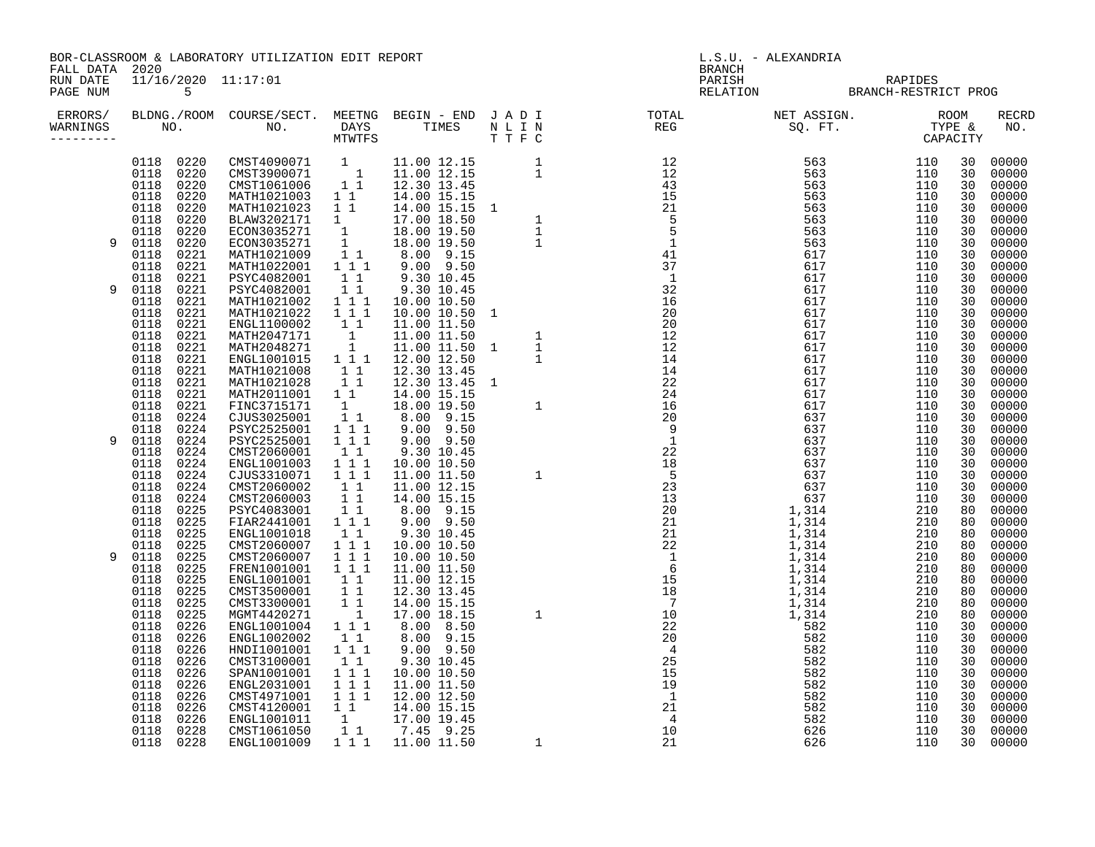BOR-CLASSROOM & LABORATORY UTILIZATION EDIT REPORT SUMMAN SUMMAN BRANCH BRANCH BRANCH BRANCH FALL DATA 2020

RUN DATE 11/16/2020 11:17:01 PARISH RAPIDES

| ERRORS/<br>WARNINGS |                   |              |                                 |                              |  | $\begin{tabular}{cccccccc} $M_{\rm H} & 0.01 & 0.2 & 0.8 & 0.00 & 0.00 & 0.00 & 0.00 & 0.00 & 0.00 & 0.00 & 0.00 & 0.00 & 0.00 & 0.00 & 0.00 & 0.00 & 0.00 & 0.00 & 0.00 & 0.00 & 0.00 & 0.00 & 0.00 & 0.00 & 0.00 & 0.00 & 0.00 & 0.00 & 0.00 & 0.00 & 0.00 & 0.00 & 0.00 & 0.00 & $ |            |          | <b>RECRD</b><br>NO. |
|---------------------|-------------------|--------------|---------------------------------|------------------------------|--|---------------------------------------------------------------------------------------------------------------------------------------------------------------------------------------------------------------------------------------------------------------------------------------|------------|----------|---------------------|
|                     | 0118 0220<br>0118 | 0220         | CMST4090071 1<br>CMST3900071    | $\overline{\phantom{a}}$     |  |                                                                                                                                                                                                                                                                                       | 110<br>110 | 30<br>30 | 00000<br>00000      |
|                     | 0118              | 0220         | CMST1061006                     | 11                           |  |                                                                                                                                                                                                                                                                                       | 110        | 30       | 00000               |
|                     | 0118              | 0220         | MATH1021003                     | $1\quad1$                    |  |                                                                                                                                                                                                                                                                                       | 110        | 30       | 00000               |
|                     | 0118              | 0220         | MATH1021023                     | 11                           |  |                                                                                                                                                                                                                                                                                       | 110        | 30       | 00000               |
|                     | 0118<br>0118      | 0220<br>0220 | BLAW3202171<br>ECON3035271      | 1                            |  |                                                                                                                                                                                                                                                                                       | 110        | 30       | 00000<br>00000      |
| 9                   | 0118              | 0220         | ECON3035271                     | $\overline{\mathbf{1}}$<br>1 |  |                                                                                                                                                                                                                                                                                       | 110<br>110 | 30<br>30 | 00000               |
|                     | 0118              | 0221         | MATH1021009                     | $1\quad1$                    |  |                                                                                                                                                                                                                                                                                       | 110        | 30       | 00000               |
|                     | 0118              | 0221         | MATH1022001                     | 1 1 1                        |  |                                                                                                                                                                                                                                                                                       | 110        | 30       | 00000               |
|                     | 0118              | 0221         | PSYC4082001                     | $1\quad1$                    |  |                                                                                                                                                                                                                                                                                       | 110        | 30       | 00000               |
| 9                   | 0118              | 0221         | PSYC4082001                     | 11                           |  |                                                                                                                                                                                                                                                                                       | 110        | 30       | 00000               |
|                     | 0118              | 0221         | MATH1021002                     | 111                          |  |                                                                                                                                                                                                                                                                                       | 110        | 30       | 00000               |
|                     | 0118              | 0221         | MATH1021022                     | 1 1 1                        |  |                                                                                                                                                                                                                                                                                       | 110        | 30       | 00000               |
|                     | 0118              | 0221         | ENGL1100002<br>MATH2047171      | 11                           |  |                                                                                                                                                                                                                                                                                       | 110        | 30       | 00000               |
|                     | 0118<br>0118      | 0221<br>0221 | MATH2048271                     | $\frac{1}{1}$                |  |                                                                                                                                                                                                                                                                                       | 110<br>110 | 30<br>30 | 00000<br>00000      |
|                     | 0118              | 0221         | ENGL1001015                     | $1 1 1$                      |  |                                                                                                                                                                                                                                                                                       | 110        | 30       | 00000               |
|                     | 0118              | 0221         | MATH1021008                     | 11                           |  |                                                                                                                                                                                                                                                                                       | 110        | 30       | 00000               |
|                     | 0118              | 0221         | MATH1021028                     | $1\quad1$                    |  |                                                                                                                                                                                                                                                                                       | 110        | 30       | 00000               |
|                     | 0118              | 0221         | MATH2011001                     | 1 1                          |  |                                                                                                                                                                                                                                                                                       | 110        | 30       | 00000               |
|                     | 0118              | 0221         | FINC3715171                     | 1                            |  |                                                                                                                                                                                                                                                                                       | 110        | 30       | 00000               |
|                     | 0118              | 0224         | CJUS3025001                     | $1\quad1$                    |  |                                                                                                                                                                                                                                                                                       | 110        | 30       | 00000               |
| 9                   | 0118              | 0224         | PSYC2525001<br>PSYC2525001      | 111<br>$1 1 1$               |  |                                                                                                                                                                                                                                                                                       | 110        | 30<br>30 | 00000               |
|                     | 0118<br>0118      | 0224<br>0224 | CMST2060001                     | 11                           |  |                                                                                                                                                                                                                                                                                       | 110<br>110 | 30       | 00000<br>00000      |
|                     | 0118              | 0224         | ENGL1001003                     | 111                          |  |                                                                                                                                                                                                                                                                                       | 110        | 30       | 00000               |
|                     | 0118              | 0224         | CJUS3310071                     | $1 1 1$                      |  |                                                                                                                                                                                                                                                                                       | 110        | 30       | 00000               |
|                     | 0118              | 0224         | CMST2060002                     | 11                           |  |                                                                                                                                                                                                                                                                                       | 110        | 30       | 00000               |
|                     | 0118              | 0224         | CMST2060003                     | 11                           |  |                                                                                                                                                                                                                                                                                       | 110        | 30       | 00000               |
|                     | 0118              | 0225         | PSYC4083001                     | 11                           |  |                                                                                                                                                                                                                                                                                       | 210        | 80       | 00000               |
|                     | 0118              | 0225         | FIAR2441001                     | 1 1 1                        |  |                                                                                                                                                                                                                                                                                       | 210        | 80       | 00000               |
|                     | 0118              | 0225         | ENGL1001018                     | 11                           |  |                                                                                                                                                                                                                                                                                       | 210        | 80       | 00000               |
| 9                   | 0118<br>0118      | 0225<br>0225 | CMST2060007<br>CMST2060007      | $1 1 1$<br>111               |  |                                                                                                                                                                                                                                                                                       | 210<br>210 | 80<br>80 | 00000<br>00000      |
|                     | 0118              | 0225         | FREN1001001                     | $1 1 1$                      |  |                                                                                                                                                                                                                                                                                       | 210        | 80       | 00000               |
|                     | 0118              | 0225         | ENGL1001001                     | 11                           |  |                                                                                                                                                                                                                                                                                       | 210        | 80       | 00000               |
|                     | 0118              | 0225         | CMST3500001                     | 11                           |  |                                                                                                                                                                                                                                                                                       | 210        | 80       | 00000               |
|                     | 0118              | 0225         | CMST3300001                     | 11                           |  |                                                                                                                                                                                                                                                                                       | 210        | 80       | 00000               |
|                     | 0118              | 0225         | MGMT4420271                     | $\overline{\phantom{a}}$     |  |                                                                                                                                                                                                                                                                                       | 210        | 80       | 00000               |
|                     | 0118              | 0226         | ENGL1001004                     | 1 1 1                        |  |                                                                                                                                                                                                                                                                                       | 110        | 30       | 00000               |
|                     | 0118              | 0226         | ENGL1002002                     | $1\quad1$                    |  |                                                                                                                                                                                                                                                                                       | 110        | 30       | 00000               |
|                     | 0118<br>0118      | 0226<br>0226 | HNDI1001001<br>CMST3100001      | 1 1 1<br>$1\quad1$           |  |                                                                                                                                                                                                                                                                                       | 110<br>110 | 30<br>30 | 00000<br>00000      |
|                     | 0118              | 0226         | SPAN1001001                     | 111                          |  |                                                                                                                                                                                                                                                                                       | 110        | 30       | 00000               |
|                     | 0118              | 0226         | ENGL2031001                     | 1 1 1                        |  |                                                                                                                                                                                                                                                                                       | 110        | 30       | 00000               |
|                     | 0118              | 0226         | CMST4971001                     | 1 1 1                        |  |                                                                                                                                                                                                                                                                                       | 110        | 30       | 00000               |
|                     | 0118              | 0226         | CMST4120001                     | 11                           |  |                                                                                                                                                                                                                                                                                       | 110        | 30       | 00000               |
|                     | 0118              | 0226         | ENGL1001011                     | $\mathbf{1}$                 |  |                                                                                                                                                                                                                                                                                       | 110        | 30       | 00000               |
|                     | 0118              | 0228         | CMST1061050                     | 11                           |  |                                                                                                                                                                                                                                                                                       | 110        | 30       | 00000               |
|                     | 0118 0228         |              | ENGL1001009 1 1 1 1 11.00 11.50 |                              |  |                                                                                                                                                                                                                                                                                       | 110        | 30       | 00000               |

PAGE NUM 5 RELATION BRANCH-RESTRICT PROG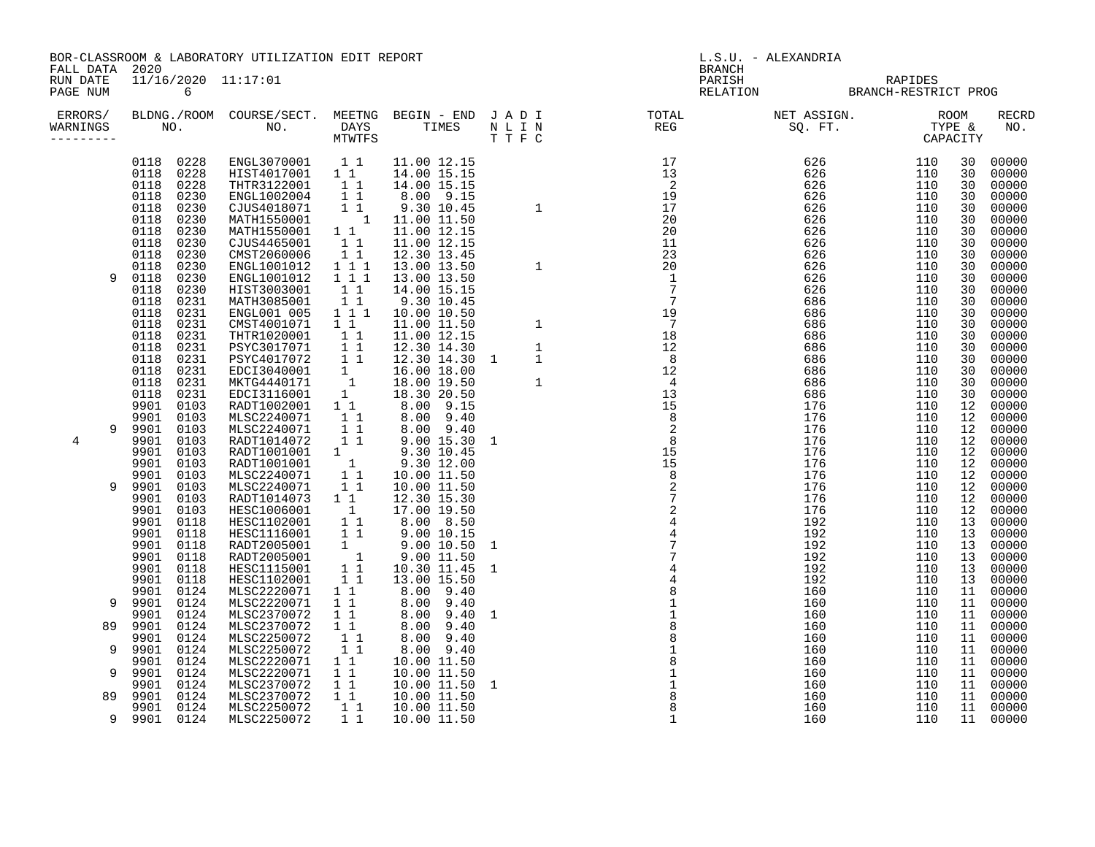| FALL DATA<br>RUN DATE<br>PAGE NUM | 2020<br>11/16/2020 11:17:01<br>6                                                                                                                                                                                                                                                                                                                                                                                          | BOR-CLASSROOM & LABORATORY UTILIZATION EDIT REPORT                                                                                                                                                                                                                                                                                                                                                 |                                                                                                                                                                                                                                                      |                                                                                                                                                                                                                                                                                                                                                                                            |                                                                   | L.S.U. - ALEXANDRIA<br><b>BRANCH</b><br>RAPIDES<br>PARISH<br>RELATION BRANCH-RESTRICT PROG                                                                                                                                                                                                                                                                                                                             |                                                                                                                                                                                        |                                                                                                                                                                                                                                                                                                                                                |                                                                                                                                                                                                                                        |  |  |
|-----------------------------------|---------------------------------------------------------------------------------------------------------------------------------------------------------------------------------------------------------------------------------------------------------------------------------------------------------------------------------------------------------------------------------------------------------------------------|----------------------------------------------------------------------------------------------------------------------------------------------------------------------------------------------------------------------------------------------------------------------------------------------------------------------------------------------------------------------------------------------------|------------------------------------------------------------------------------------------------------------------------------------------------------------------------------------------------------------------------------------------------------|--------------------------------------------------------------------------------------------------------------------------------------------------------------------------------------------------------------------------------------------------------------------------------------------------------------------------------------------------------------------------------------------|-------------------------------------------------------------------|------------------------------------------------------------------------------------------------------------------------------------------------------------------------------------------------------------------------------------------------------------------------------------------------------------------------------------------------------------------------------------------------------------------------|----------------------------------------------------------------------------------------------------------------------------------------------------------------------------------------|------------------------------------------------------------------------------------------------------------------------------------------------------------------------------------------------------------------------------------------------------------------------------------------------------------------------------------------------|----------------------------------------------------------------------------------------------------------------------------------------------------------------------------------------------------------------------------------------|--|--|
| ERRORS/<br>WARNINGS<br>---------  |                                                                                                                                                                                                                                                                                                                                                                                                                           |                                                                                                                                                                                                                                                                                                                                                                                                    |                                                                                                                                                                                                                                                      |                                                                                                                                                                                                                                                                                                                                                                                            |                                                                   |                                                                                                                                                                                                                                                                                                                                                                                                                        |                                                                                                                                                                                        |                                                                                                                                                                                                                                                                                                                                                | <b>RECRD</b><br>NO.                                                                                                                                                                                                                    |  |  |
| 9<br>9<br>4                       | 0118 0228<br>0228<br>0118<br>0228<br>0118<br>0118<br>0230<br>0230<br>0118<br>0230<br>0118<br>0118<br>0230<br>0118<br>0230<br>0230<br>0118<br>0230<br>0118<br>0230<br>0118<br>0230<br>0118<br>0118<br>0231<br>0118<br>0231<br>0118<br>0231<br>0118<br>0231<br>0118<br>0231<br>0118<br>0231<br>0118<br>0231<br>0118<br>0231<br>0118<br>0231<br>9901<br>0103<br>9901<br>0103<br>9901<br>0103<br>0103<br>9901<br>9901<br>0103 | ENGL3070001<br>HIST4017001<br>THTR3122001<br>ENGL1002004<br>CJUS4018071<br>MATH1550001<br>MATH1550001<br>CJUS4465001<br>CMST2060006<br>ENGL1001012<br>ENGL1001012<br>HIST3003001<br>MATH3085001<br>ENGL001 005<br>CMST4001071<br>THTR1020001<br>PSYC3017071<br>PSYC4017072<br>EDCI3040001<br>MKTG4440171<br>EDCI3116001<br>RADT1002001<br>MLSC2240071<br>MLSC2240071<br>RADT1014072<br>RADT1001001 | $1\quad1$<br>$1\quad1$<br>11<br>1 1<br>1 1<br>$\overline{1}$<br>$1\quad1$<br>11<br>11<br>$1\hspace{0.1cm} 1\hspace{0.1cm} 1$<br>111<br>1 1<br>11<br>$1 1 1$<br>11<br>11<br>11<br>11<br>1<br>$\overline{1}$<br>1<br>$1\quad1$<br>1 1<br>11<br>11<br>1 | 11.00 12.15<br>14.00 15.15<br>14.00 15.15<br>8.00 9.15<br>9.30 10.45<br>11.00 11.50<br>11.00 12.15<br>11.00 12.15<br>12.30 13.45<br>13.00 13.50<br>13.00 13.50<br>14.00 15.15<br>9.30 10.45<br>10.00 10.50<br>11.00 11.50<br>11.00 12.15<br>12.30 14.30<br>12.30 14.30 1<br>16.00 18.00<br>18.00 19.50<br>18.30 20.50<br>8.00 9.15<br>8.00 9.40<br>8.00 9.40<br>$9.00$ 15.30<br>9.30 10.45 | $\mathbf{1}$<br>$\mathbf{1}$<br>$\mathbf{1}$<br>$\mathbf{1}$<br>1 | $\begin{array}{c} 17 \\ 13 \\ 2 \\ 19 \\ 17 \\ 22 \end{array}$<br>20<br>20<br>11<br>23<br>20<br>$\overline{1}$<br>$\frac{1}{2}$                                                                                                                                                                                                                                                                                        | 626<br>626<br>626<br>$626$<br>$626$<br>626<br>626<br>626<br>626<br>626<br>626<br>626<br>686<br>686<br>686<br>686<br>686<br>686<br>686<br>686<br>686<br>176<br>176<br>176<br>176<br>176 | 110<br>30<br>110<br>30<br>110<br>30<br>110<br>30<br>110<br>30<br>110<br>30<br>110<br>30<br>110<br>30<br>30<br>110<br>110<br>30<br>110<br>30<br>110<br>30<br>110<br>30<br>110<br>30<br>110<br>30<br>110<br>30<br>110<br>30<br>110<br>30<br>110<br>30<br>110<br>30<br>110<br>30<br>12<br>110<br>110<br>12<br>12<br>110<br>12<br>110<br>12<br>110 | 00000<br>00000<br>00000<br>00000<br>00000<br>00000<br>00000<br>00000<br>00000<br>00000<br>00000<br>00000<br>00000<br>00000<br>00000<br>00000<br>00000<br>00000<br>00000<br>00000<br>00000<br>00000<br>00000<br>00000<br>00000<br>00000 |  |  |
| 9<br>9<br>89<br>9<br>9<br>89      | 9901<br>0103<br>9901<br>0103<br>0103<br>9901<br>9901<br>0103<br>9901<br>0103<br>9901<br>0118<br>9901<br>0118<br>9901<br>0118<br>9901<br>0118<br>9901<br>0118<br>9901<br>0118<br>9901<br>0124<br>9901<br>0124<br>9901<br>0124<br>9901<br>0124<br>9901<br>0124<br>9901<br>0124<br>9901<br>0124<br>0124<br>9901<br>0124<br>9901<br>0124<br>9901                                                                              | RADT1001001<br>MLSC2240071<br>MLSC2240071<br>RADT1014073<br>HESC1006001<br>HESC1102001<br>HESC1116001<br>RADT2005001<br>RADT2005001<br>HESC1115001<br>HESC1102001<br>MLSC2220071<br>MLSC2220071<br>MLSC2370072<br>MLSC2370072<br>MLSC2250072<br>MLSC2250072<br>MLSC2220071<br>MLSC2220071<br>MLSC2370072<br>MLSC2370072                                                                            | $\overline{1}$<br>$1\quad1$<br>11<br>$1\quad1$<br>$\overline{1}$<br>1 1<br>11<br>$\frac{1}{1}$<br>11<br>11<br>$1\quad1$<br>$1\quad1$<br>$1\quad1$<br>$1\quad1$<br>1 1<br>$1\quad1$<br>$1\quad1$<br>$1\quad1$<br>$1\quad1$<br>$1\quad1$               | 9.30 12.00<br>10.00 11.50<br>10.00 11.50<br>12.30 15.30<br>17.00 19.50<br>8.00 8.50<br>9.00 10.15<br>9.00 10.50 1<br>9.00 11.50<br>10.30 11.45<br>13.00 15.50<br>8.00 9.40<br>8.00 9.40<br>8.00 9.40<br>8.00<br>9.40<br>8.00 9.40<br>8.00 9.40<br>10.00 11.50<br>10.00 11.50<br>10.00 11.50 1<br>10.00 11.50                                                                               | 1<br>1                                                            | $\begin{array}{cccc} 1 & 12 & 12 \\ 1 & 8 & 12 \\ 12 & 4 \\ 13 & 15 & 8 \\ 8 & 2 \\ 15 & 15 & 8 \\ 15 & 8 \\ 2 & 7 \\ 2 & 2 \\ 1 & 3 \\ 2 & 7 \\ 2 & 2 \\ 3 & 4 \\ 4 & 1 \\ 6 & 1 \\ 7 & 2 \\ 1 & 1 \\ 8 & 2 \\ 2 & 2 \\ 1 & 1 \\ 1 & 1 \\ 2 & 3 \\ 3 & 4 \\ 4 & 5 \\ 1 & 5 \\ 3 & 2 \\ 4 & 1 \\ 5 & 3 \\ 2 & 2 \\ 3 & 4 \\ 4 & 5 \\ 5 & 6 \\$<br>$\begin{array}{c} 481 \\ 811 \\ 881 \\ 811 \\ 811 \\ 88 \end{array}$ | 176<br>176<br>176<br>176<br>176<br>192<br>192<br>192<br>192<br>192<br>192<br>160<br>160<br>160<br>160<br>160<br>160<br>160<br>160<br>160<br>160                                        | 110<br>12<br>110<br>12 <sup>°</sup><br>110<br>12<br>12<br>110<br>110<br>12<br>110<br>13<br>110<br>13<br>110<br>13<br>110<br>13<br>110<br>13<br>110<br>13<br>110<br>11<br>110<br>11<br>110<br>11<br>110<br>11<br>110<br>11<br>110<br>11<br>110<br>11<br>110<br>11<br>110<br>11<br>110<br>11                                                     | 00000<br>00000<br>00000<br>00000<br>00000<br>00000<br>00000<br>00000<br>00000<br>00000<br>00000<br>00000<br>00000<br>00000<br>00000<br>00000<br>00000<br>00000<br>00000<br>00000<br>00000                                              |  |  |
|                                   | 0124<br>9901<br>9 9901 0124                                                                                                                                                                                                                                                                                                                                                                                               | MLSC2250072<br>MLSC2250072                                                                                                                                                                                                                                                                                                                                                                         | 11<br>11                                                                                                                                                                                                                                             | 10.00 11.50<br>10.00 11.50                                                                                                                                                                                                                                                                                                                                                                 |                                                                   | $\mathbf{1}$                                                                                                                                                                                                                                                                                                                                                                                                           | 160<br>160                                                                                                                                                                             | 110<br>11<br>110<br>11                                                                                                                                                                                                                                                                                                                         | 00000<br>00000                                                                                                                                                                                                                         |  |  |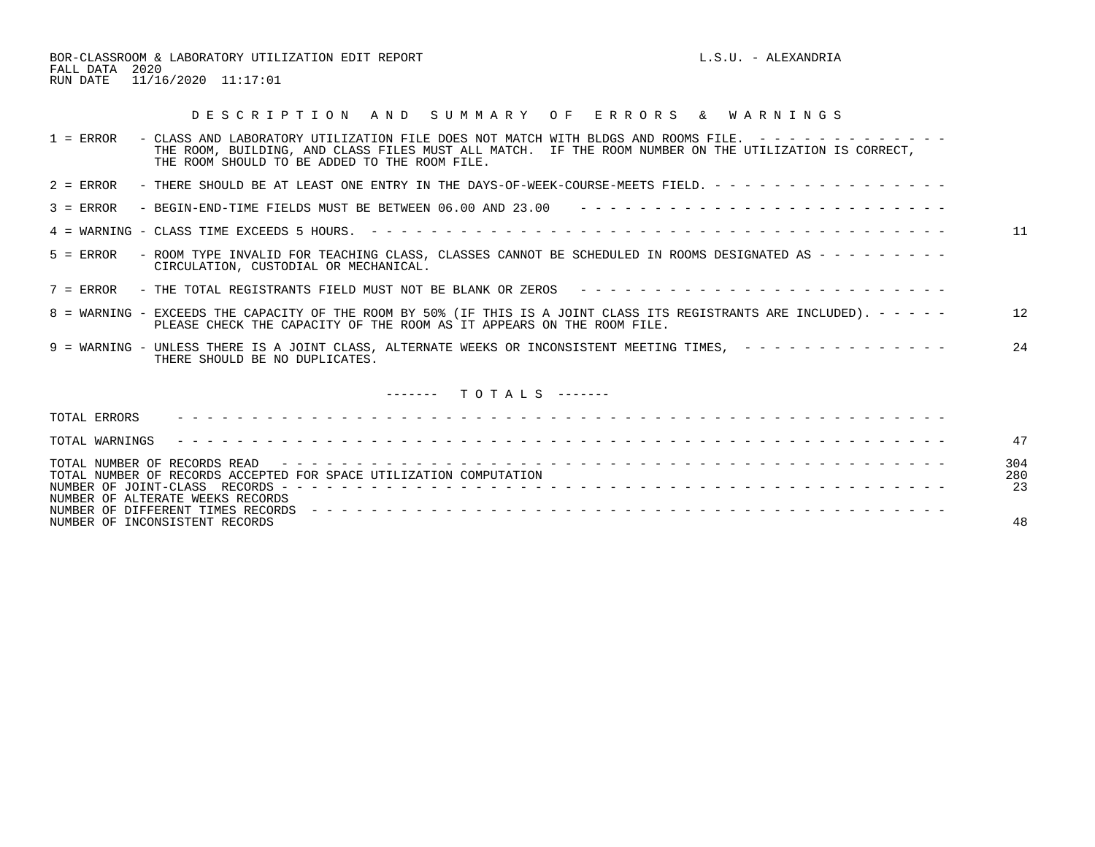BOR-CLASSROOM & LABORATORY UTILIZATION EDIT REPORT **Example 19** L.S.U. - ALEXANDRIA FALL DATA 2020 RUN DATE 11/16/2020 11:17:01

## D E S C R I P T I O N A N D S U M M A R Y O F E R R O R S & W A R N I N G S

| $1 =$ ERROR<br>- CLASS AND LABORATORY UTILIZATION FILE DOES NOT MATCH WITH BLDGS AND ROOMS FILE. $-$ - - - - - - - - - - - -<br>THE ROOM, BUILDING, AND CLASS FILES MUST ALL MATCH. IF THE ROOM NUMBER ON THE UTILIZATION IS CORRECT,<br>THE ROOM SHOULD TO BE ADDED TO THE ROOM FILE. |                  |
|----------------------------------------------------------------------------------------------------------------------------------------------------------------------------------------------------------------------------------------------------------------------------------------|------------------|
| - THERE SHOULD BE AT LEAST ONE ENTRY IN THE DAYS-OF-WEEK-COURSE-MEETS FIELD. - - - - - - - - - - - - - - - -<br>$2 =$ ERROR                                                                                                                                                            |                  |
| - BEGIN-END-TIME FIELDS MUST BE BETWEEN $06.00$ AND $23.00$ ---------------------------<br>$3 =$ ERROR                                                                                                                                                                                 |                  |
|                                                                                                                                                                                                                                                                                        | 11               |
| - ROOM TYPE INVALID FOR TEACHING CLASS, CLASSES CANNOT BE SCHEDULED IN ROOMS DESIGNATED AS - - - - - - - - -<br>$5 =$ ERROR<br>CIRCULATION, CUSTODIAL OR MECHANICAL.                                                                                                                   |                  |
| - THE TOTAL REGISTRANTS FIELD MUST NOT BE BLANK OR ZEROS --------------------------<br>$7 =$ ERROR                                                                                                                                                                                     |                  |
| 8 = WARNING - EXCEEDS THE CAPACITY OF THE ROOM BY 50% (IF THIS IS A JOINT CLASS ITS REGISTRANTS ARE INCLUDED). - - - - -<br>PLEASE CHECK THE CAPACITY OF THE ROOM AS IT APPEARS ON THE ROOM FILE.                                                                                      | 12               |
| 9 = WARNING - UNLESS THERE IS A JOINT CLASS, ALTERNATE WEEKS OR INCONSISTENT MEETING TIMES, --------------<br>THERE SHOULD BE NO DUPLICATES.                                                                                                                                           | 24               |
| $------T$ $0$ $T$ $A$ $L$ $S$ $------$                                                                                                                                                                                                                                                 |                  |
| TOTAL ERRORS                                                                                                                                                                                                                                                                           |                  |
| TOTAL WARNINGS                                                                                                                                                                                                                                                                         | 47               |
| TOTAL NUMBER OF RECORDS ACCEPTED FOR SPACE UTILIZATION COMPUTATION<br>NUMBER OF ALTERATE WEEKS RECORDS                                                                                                                                                                                 | 304<br>280<br>23 |
| NUMBER OF INCONSISTENT RECORDS                                                                                                                                                                                                                                                         | 48               |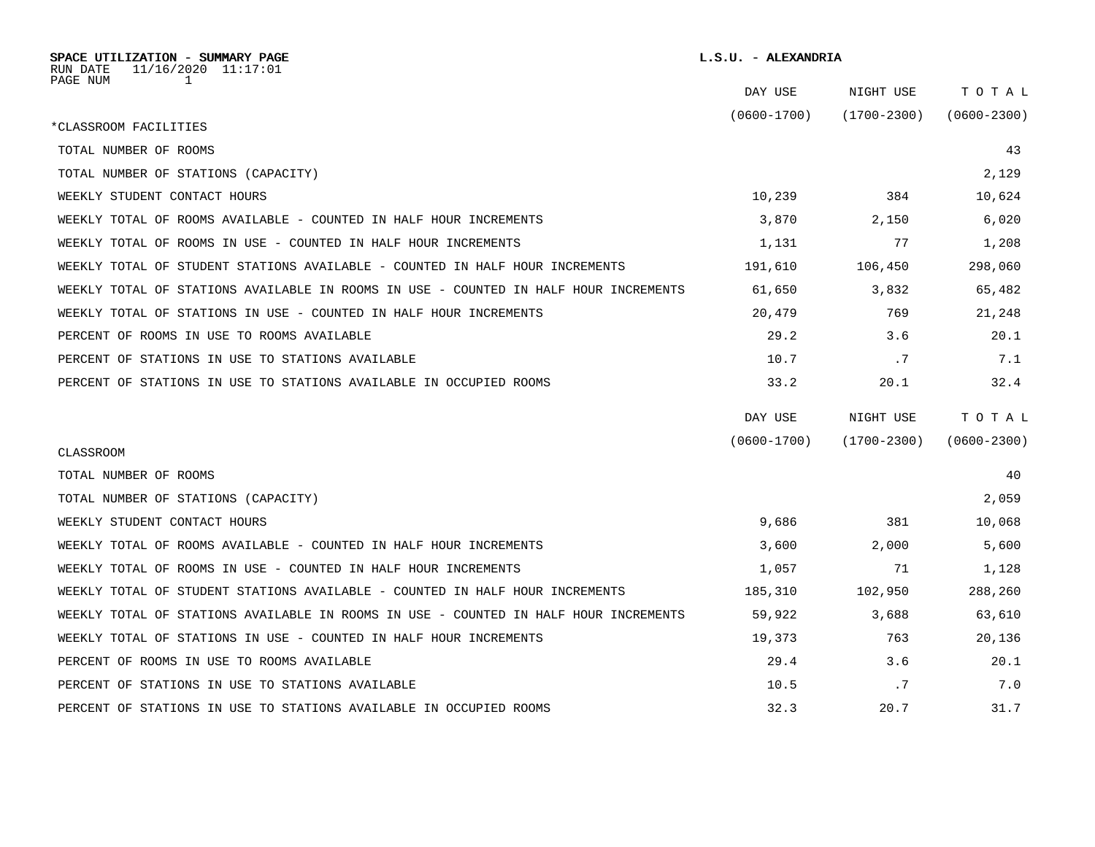| SPACE UTILIZATION - SUMMARY PAGE<br>11/16/2020 11:17:01<br>RUN DATE                  |                 | L.S.U. - ALEXANDRIA |                 |  |  |
|--------------------------------------------------------------------------------------|-----------------|---------------------|-----------------|--|--|
| PAGE NUM<br>1                                                                        | DAY USE         | NIGHT USE           | TOTAL           |  |  |
| *CLASSROOM FACILITIES                                                                | $(0600 - 1700)$ | $(1700 - 2300)$     | $(0600 - 2300)$ |  |  |
| TOTAL NUMBER OF ROOMS                                                                |                 |                     | 43              |  |  |
| TOTAL NUMBER OF STATIONS (CAPACITY)                                                  |                 |                     | 2,129           |  |  |
| WEEKLY STUDENT CONTACT HOURS                                                         | 10,239          | 384                 | 10,624          |  |  |
| WEEKLY TOTAL OF ROOMS AVAILABLE - COUNTED IN HALF HOUR INCREMENTS                    | 3,870           | 2,150               | 6,020           |  |  |
| WEEKLY TOTAL OF ROOMS IN USE - COUNTED IN HALF HOUR INCREMENTS                       | 1,131           | 77                  | 1,208           |  |  |
| WEEKLY TOTAL OF STUDENT STATIONS AVAILABLE - COUNTED IN HALF HOUR INCREMENTS         | 191,610         | 106,450             | 298,060         |  |  |
| WEEKLY TOTAL OF STATIONS AVAILABLE IN ROOMS IN USE - COUNTED IN HALF HOUR INCREMENTS | 61,650          | 3,832               | 65,482          |  |  |
| WEEKLY TOTAL OF STATIONS IN USE - COUNTED IN HALF HOUR INCREMENTS                    | 20,479          | 769                 | 21,248          |  |  |
| PERCENT OF ROOMS IN USE TO ROOMS AVAILABLE                                           | 29.2            | 3.6                 | 20.1            |  |  |
| PERCENT OF STATIONS IN USE TO STATIONS AVAILABLE                                     | 10.7            | .7                  | 7.1             |  |  |
| PERCENT OF STATIONS IN USE TO STATIONS AVAILABLE IN OCCUPIED ROOMS                   | 33.2            | 20.1                | 32.4            |  |  |
|                                                                                      | DAY USE         | NIGHT USE           | TOTAL           |  |  |
| <b>CLASSROOM</b>                                                                     | $(0600 - 1700)$ | $(1700 - 2300)$     | $(0600 - 2300)$ |  |  |
| TOTAL NUMBER OF ROOMS                                                                |                 |                     | 40              |  |  |
| TOTAL NUMBER OF STATIONS (CAPACITY)                                                  |                 |                     | 2,059           |  |  |
| WEEKLY STUDENT CONTACT HOURS                                                         | 9,686           | 381                 | 10,068          |  |  |
| WEEKLY TOTAL OF ROOMS AVAILABLE - COUNTED IN HALF HOUR INCREMENTS                    | 3,600           | 2,000               | 5,600           |  |  |
| WEEKLY TOTAL OF ROOMS IN USE - COUNTED IN HALF HOUR INCREMENTS                       | 1,057           | 71                  | 1,128           |  |  |
| WEEKLY TOTAL OF STUDENT STATIONS AVAILABLE - COUNTED IN HALF HOUR INCREMENTS         | 185,310         | 102,950             | 288,260         |  |  |
| WEEKLY TOTAL OF STATIONS AVAILABLE IN ROOMS IN USE - COUNTED IN HALF HOUR INCREMENTS | 59,922          | 3,688               | 63,610          |  |  |
| WEEKLY TOTAL OF STATIONS IN USE - COUNTED IN HALF HOUR INCREMENTS                    | 19,373          | 763                 | 20,136          |  |  |
| PERCENT OF ROOMS IN USE TO ROOMS AVAILABLE                                           | 29.4            | 3.6                 | 20.1            |  |  |
| PERCENT OF STATIONS IN USE TO STATIONS AVAILABLE                                     | 10.5            | .7                  | 7.0             |  |  |
| PERCENT OF STATIONS IN USE TO STATIONS AVAILABLE IN OCCUPIED ROOMS                   | 32.3            | 20.7                | 31.7            |  |  |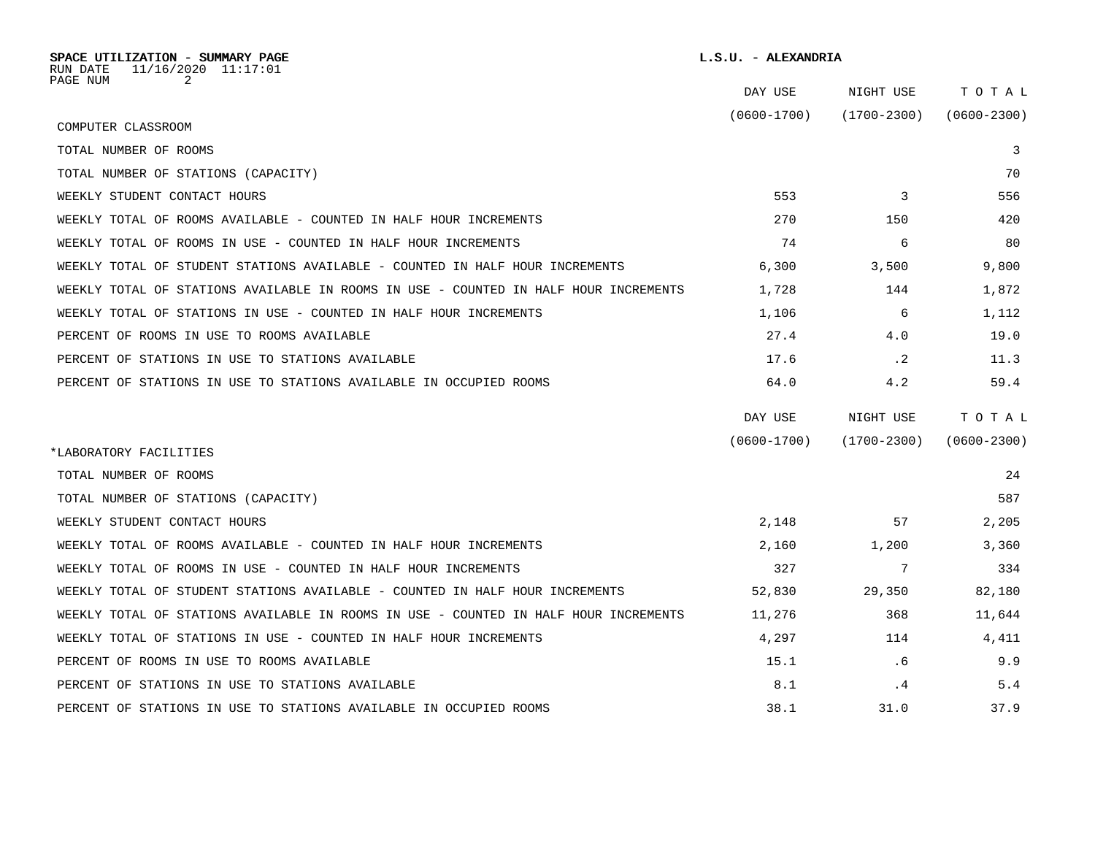| SPACE UTILIZATION - SUMMARY PAGE<br>11/16/2020 11:17:01<br>RUN DATE<br>PAGE NUM<br>2 | L.S.U. - ALEXANDRIA |                 |                 |
|--------------------------------------------------------------------------------------|---------------------|-----------------|-----------------|
|                                                                                      | DAY USE             | NIGHT USE       | TOTAL           |
| COMPUTER CLASSROOM                                                                   | $(0600 - 1700)$     | $(1700 - 2300)$ | $(0600 - 2300)$ |
| TOTAL NUMBER OF ROOMS                                                                |                     |                 | 3               |
| TOTAL NUMBER OF STATIONS (CAPACITY)                                                  |                     |                 | 70              |
| WEEKLY STUDENT CONTACT HOURS                                                         | 553                 | 3               | 556             |
| WEEKLY TOTAL OF ROOMS AVAILABLE - COUNTED IN HALF HOUR INCREMENTS                    | 270                 | 150             | 420             |
| WEEKLY TOTAL OF ROOMS IN USE - COUNTED IN HALF HOUR INCREMENTS                       | 74                  | 6               | 80              |
| WEEKLY TOTAL OF STUDENT STATIONS AVAILABLE - COUNTED IN HALF HOUR INCREMENTS         | 6,300               | 3,500           | 9,800           |
| WEEKLY TOTAL OF STATIONS AVAILABLE IN ROOMS IN USE - COUNTED IN HALF HOUR INCREMENTS | 1,728               | 144             | 1,872           |
| WEEKLY TOTAL OF STATIONS IN USE - COUNTED IN HALF HOUR INCREMENTS                    | 1,106               | 6               | 1,112           |
| PERCENT OF ROOMS IN USE TO ROOMS AVAILABLE                                           | 27.4                | 4.0             | 19.0            |
| PERCENT OF STATIONS IN USE TO STATIONS AVAILABLE                                     | 17.6                | $\cdot$ 2       | 11.3            |
| PERCENT OF STATIONS IN USE TO STATIONS AVAILABLE IN OCCUPIED ROOMS                   | 64.0                | 4.2             | 59.4            |
|                                                                                      | DAY USE             | NIGHT USE       | TOTAL           |
|                                                                                      | $(0600 - 1700)$     | $(1700 - 2300)$ | $(0600 - 2300)$ |
| *LABORATORY FACILITIES<br>TOTAL NUMBER OF ROOMS                                      |                     |                 | 24              |
| TOTAL NUMBER OF STATIONS (CAPACITY)                                                  |                     |                 | 587             |
| WEEKLY STUDENT CONTACT HOURS                                                         | 2,148               | 57              | 2,205           |
|                                                                                      |                     |                 |                 |
| WEEKLY TOTAL OF ROOMS AVAILABLE - COUNTED IN HALF HOUR INCREMENTS                    | 2,160               | 1,200           | 3,360           |
| WEEKLY TOTAL OF ROOMS IN USE - COUNTED IN HALF HOUR INCREMENTS                       | 327                 | 7               | 334             |
| WEEKLY TOTAL OF STUDENT STATIONS AVAILABLE - COUNTED IN HALF HOUR INCREMENTS         | 52,830              | 29,350          | 82,180          |
| WEEKLY TOTAL OF STATIONS AVAILABLE IN ROOMS IN USE - COUNTED IN HALF HOUR INCREMENTS | 11,276              | 368             | 11,644          |
| WEEKLY TOTAL OF STATIONS IN USE - COUNTED IN HALF HOUR INCREMENTS                    | 4,297               | 114             | 4,411           |
| PERCENT OF ROOMS IN USE TO ROOMS AVAILABLE                                           | 15.1                | . 6             | 9.9             |
| PERCENT OF STATIONS IN USE TO STATIONS AVAILABLE                                     | 8.1                 | . 4             | 5.4             |
| PERCENT OF STATIONS IN USE TO STATIONS AVAILABLE IN OCCUPIED ROOMS                   | 38.1                | 31.0            | 37.9            |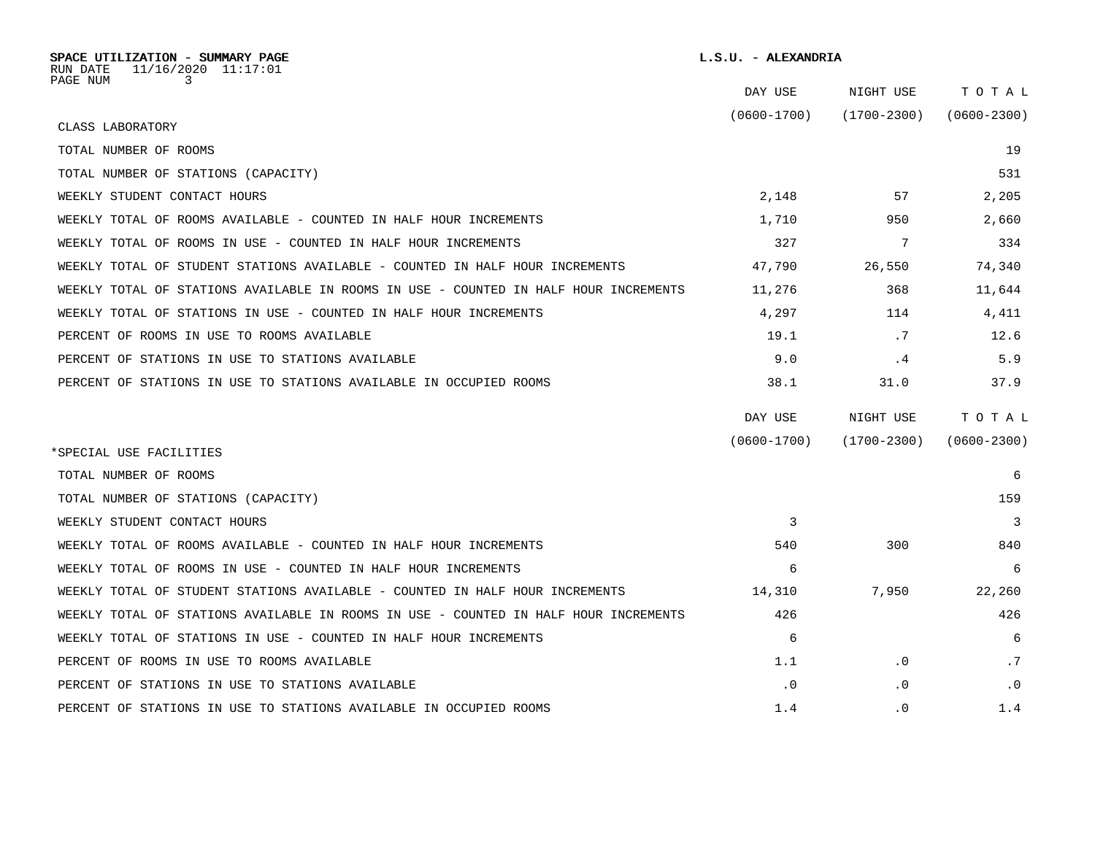| SPACE UTILIZATION - SUMMARY PAGE<br>11/16/2020 11:17:01<br>RUN DATE                  | L.S.U. - ALEXANDRIA |             |                 |
|--------------------------------------------------------------------------------------|---------------------|-------------|-----------------|
| PAGE NUM<br>3                                                                        | DAY USE             | NIGHT USE   | TOTAL           |
|                                                                                      | (0600-1700)         | (1700-2300) | $(0600 - 2300)$ |
| CLASS LABORATORY                                                                     |                     |             |                 |
| TOTAL NUMBER OF ROOMS                                                                |                     |             | 19              |
| TOTAL NUMBER OF STATIONS (CAPACITY)                                                  |                     |             | 531             |
| WEEKLY STUDENT CONTACT HOURS                                                         | 2,148               | 57          | 2,205           |
| WEEKLY TOTAL OF ROOMS AVAILABLE - COUNTED IN HALF HOUR INCREMENTS                    | 1,710               | 950         | 2,660           |
| WEEKLY TOTAL OF ROOMS IN USE - COUNTED IN HALF HOUR INCREMENTS                       | 327                 | 7           | 334             |
| WEEKLY TOTAL OF STUDENT STATIONS AVAILABLE - COUNTED IN HALF HOUR INCREMENTS         | 47,790              | 26,550      | 74,340          |
| WEEKLY TOTAL OF STATIONS AVAILABLE IN ROOMS IN USE - COUNTED IN HALF HOUR INCREMENTS | 11,276              | 368         | 11,644          |
| WEEKLY TOTAL OF STATIONS IN USE - COUNTED IN HALF HOUR INCREMENTS                    | 4,297               | 114         | 4,411           |
| PERCENT OF ROOMS IN USE TO ROOMS AVAILABLE                                           | 19.1                | .7          | 12.6            |
| PERCENT OF STATIONS IN USE TO STATIONS AVAILABLE                                     | 9.0                 | .4          | 5.9             |
| PERCENT OF STATIONS IN USE TO STATIONS AVAILABLE IN OCCUPIED ROOMS                   | 38.1                | 31.0        | 37.9            |
|                                                                                      | DAY USE             | NIGHT USE   | TOTAL           |
| *SPECIAL USE FACILITIES                                                              | $(0600 - 1700)$     | (1700-2300) | $(0600 - 2300)$ |
| TOTAL NUMBER OF ROOMS                                                                |                     |             | 6               |
| TOTAL NUMBER OF STATIONS (CAPACITY)                                                  |                     |             | 159             |
| WEEKLY STUDENT CONTACT HOURS                                                         | 3                   |             | 3               |
| WEEKLY TOTAL OF ROOMS AVAILABLE - COUNTED IN HALF HOUR INCREMENTS                    | 540                 | 300         | 840             |
| WEEKLY TOTAL OF ROOMS IN USE - COUNTED IN HALF HOUR INCREMENTS                       | 6                   |             | 6               |
| WEEKLY TOTAL OF STUDENT STATIONS AVAILABLE - COUNTED IN HALF HOUR INCREMENTS         | 14,310              | 7,950       | 22,260          |
| WEEKLY TOTAL OF STATIONS AVAILABLE IN ROOMS IN USE - COUNTED IN HALF HOUR INCREMENTS | 426                 |             | 426             |
| WEEKLY TOTAL OF STATIONS IN USE - COUNTED IN HALF HOUR INCREMENTS                    | 6                   |             | 6               |
| PERCENT OF ROOMS IN USE TO ROOMS AVAILABLE                                           | 1.1                 | $\cdot$ 0   | .7              |
| PERCENT OF STATIONS IN USE TO STATIONS AVAILABLE                                     | $\cdot$ 0           | $\cdot$ 0   | $\cdot$ 0       |
| PERCENT OF STATIONS IN USE TO STATIONS AVAILABLE IN OCCUPIED ROOMS                   | 1.4                 | $\cdot$ 0   | 1.4             |